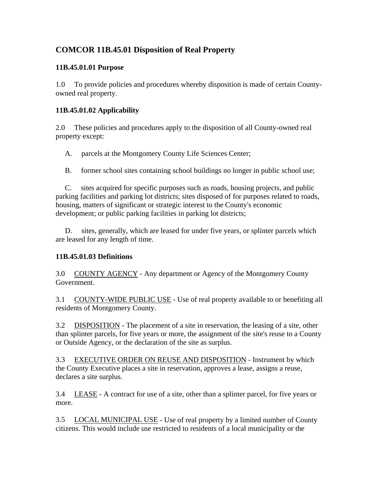# **COMCOR 11B.45.01 Disposition of Real Property**

### **11B.45.01.01 Purpose**

1.0 To provide policies and procedures whereby disposition is made of certain Countyowned real property.

# **11B.45.01.02 Applicability**

2.0 These policies and procedures apply to the disposition of all County-owned real property except:

A. parcels at the Montgomery County Life Sciences Center;

B. former school sites containing school buildings no longer in public school use;

 C. sites acquired for specific purposes such as roads, housing projects, and public parking facilities and parking lot districts; sites disposed of for purposes related to roads, housing, matters of significant or strategic interest to the County's economic development; or public parking facilities in parking lot districts;

 D. sites, generally, which are leased for under five years, or splinter parcels which are leased for any length of time.

### **11B.45.01.03 Definitions**

3.0 COUNTY AGENCY - Any department or Agency of the Montgomery County Government.

3.1 COUNTY-WIDE PUBLIC USE - Use of real property available to or benefiting all residents of Montgomery County.

3.2 DISPOSITION - The placement of a site in reservation, the leasing of a site, other than splinter parcels, for five years or more, the assignment of the site's reuse to a County or Outside Agency, or the declaration of the site as surplus.

3.3 EXECUTIVE ORDER ON REUSE AND DISPOSITION - Instrument by which the County Executive places a site in reservation, approves a lease, assigns a reuse, declares a site surplus.

3.4 LEASE - A contract for use of a site, other than a splinter parcel, for five years or more.

3.5 LOCAL MUNICIPAL USE - Use of real property by a limited number of County citizens. This would include use restricted to residents of a local municipality or the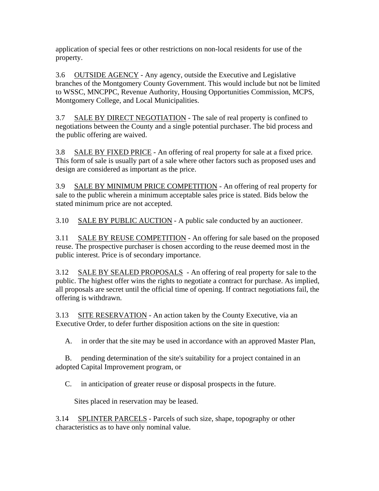application of special fees or other restrictions on non-local residents for use of the property.

3.6 OUTSIDE AGENCY - Any agency, outside the Executive and Legislative branches of the Montgomery County Government. This would include but not be limited to WSSC, MNCPPC, Revenue Authority, Housing Opportunities Commission, MCPS, Montgomery College, and Local Municipalities.

3.7 SALE BY DIRECT NEGOTIATION - The sale of real property is confined to negotiations between the County and a single potential purchaser. The bid process and the public offering are waived.

3.8 SALE BY FIXED PRICE - An offering of real property for sale at a fixed price. This form of sale is usually part of a sale where other factors such as proposed uses and design are considered as important as the price.

3.9 SALE BY MINIMUM PRICE COMPETITION - An offering of real property for sale to the public wherein a minimum acceptable sales price is stated. Bids below the stated minimum price are not accepted.

3.10 SALE BY PUBLIC AUCTION - A public sale conducted by an auctioneer.

3.11 SALE BY REUSE COMPETITION - An offering for sale based on the proposed reuse. The prospective purchaser is chosen according to the reuse deemed most in the public interest. Price is of secondary importance.

3.12 SALE BY SEALED PROPOSALS - An offering of real property for sale to the public. The highest offer wins the rights to negotiate a contract for purchase. As implied, all proposals are secret until the official time of opening. If contract negotiations fail, the offering is withdrawn.

3.13 SITE RESERVATION - An action taken by the County Executive, via an Executive Order, to defer further disposition actions on the site in question:

A. in order that the site may be used in accordance with an approved Master Plan,

 B. pending determination of the site's suitability for a project contained in an adopted Capital Improvement program, or

C. in anticipation of greater reuse or disposal prospects in the future.

Sites placed in reservation may be leased.

3.14 SPLINTER PARCELS - Parcels of such size, shape, topography or other characteristics as to have only nominal value.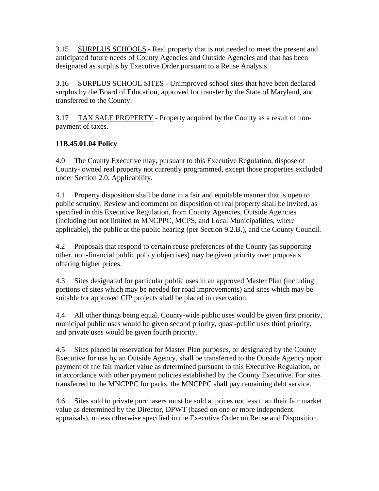3.15 SURPLUS SCHOOLS - Real property that is not needed to meet the present and anticipated future needs of County Agencies and Outside Agencies and that has been designated as surplus by Executive Order pursuant to a Reuse Analysis.

3.16 SURPLUS SCHOOL SITES - Unimproved school sites that have been declared surplus by the Board of Education, approved for transfer by the State of Maryland, and transferred to the County.

3.17 TAX SALE PROPERTY - Property acquired by the County as a result of nonpayment of taxes.

# **11B.45.01.04 Policy**

4.0 The County Executive may, pursuant to this Executive Regulation, dispose of County- owned real property not currently programmed, except those properties excluded under Section 2.0, Applicability.

4.1 Property disposition shall be done in a fair and equitable manner that is open to public scrutiny. Review and comment on disposition of real property shall be invited, as specified in this Executive Regulation, from County Agencies, Outside Agencies (including but not limited to MNCPPC, MCPS, and Local Municipalities, where applicable), the public at the public hearing (per Section 9.2.B.), and the County Council.

4.2 Proposals that respond to certain reuse preferences of the County (as supporting other, non-financial public policy objectives) may be given priority over proposals offering higher prices.

4.3 Sites designated for particular public uses in an approved Master Plan (including portions of sites which may be needed for road improvements) and sites which may be suitable for approved CIP projects shall be placed in reservation.

4.4 All other things being equal, County-wide public uses would be given first priority, municipal public uses would be given second priority, quasi-public uses third priority, and private uses would be given fourth priority.

4.5 Sites placed in reservation for Master Plan purposes, or designated by the County Executive for use by an Outside Agency, shall be transferred to the Outside Agency upon payment of the fair market value as determined pursuant to this Executive Regulation, or in accordance with other payment policies established by the County Executive. For sites transferred to the MNCPPC for parks, the MNCPPC shall pay remaining debt service.

4.6 Sites sold to private purchasers must be sold at prices not less than their fair market value as determined by the Director, DPWT (based on one or more independent appraisals), unless otherwise specified in the Executive Order on Reuse and Disposition.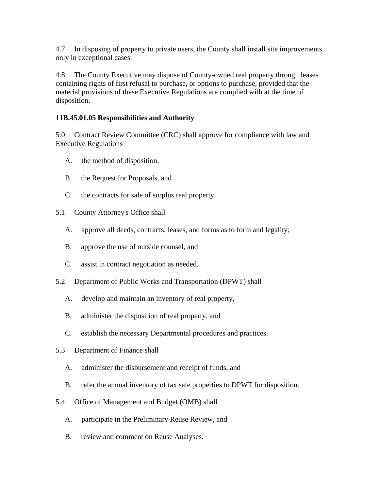4.7 In disposing of property to private users, the County shall install site improvements only in exceptional cases.

4.8 The County Executive may dispose of County-owned real property through leases containing rights of first refusal to purchase, or options to purchase, provided that the material provisions of these Executive Regulations are complied with at the time of disposition.

### **11B.45.01.05 Responsibilities and Authority**

5.0 Contract Review Committee (CRC) shall approve for compliance with law and Executive Regulations

- A. the method of disposition,
- B. the Request for Proposals, and
- C. the contracts for sale of surplus real property.
- 5.1 County Attorney's Office shall
	- A. approve all deeds, contracts, leases, and forms as to form and legality;
	- B. approve the use of outside counsel, and
	- C. assist in contract negotiation as needed.
- 5.2 Department of Public Works and Transportation (DPWT) shall
	- A. develop and maintain an inventory of real property,
	- B. administer the disposition of real property, and
	- C. establish the necessary Departmental procedures and practices.
- 5.3 Department of Finance shall
	- A. administer the disbursement and receipt of funds, and
	- B. refer the annual inventory of tax sale properties to DPWT for disposition.
- 5.4 Office of Management and Budget (OMB) shall
	- A. participate in the Preliminary Reuse Review, and
	- B. review and comment on Reuse Analyses.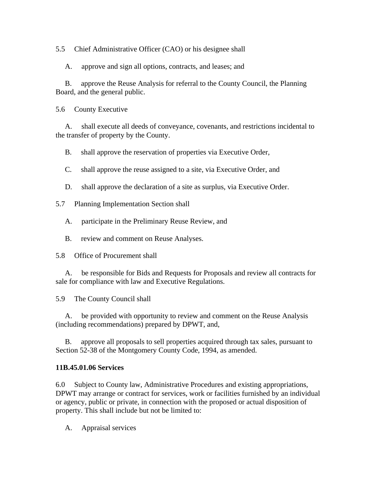5.5 Chief Administrative Officer (CAO) or his designee shall

A. approve and sign all options, contracts, and leases; and

 B. approve the Reuse Analysis for referral to the County Council, the Planning Board, and the general public.

5.6 County Executive

 A. shall execute all deeds of conveyance, covenants, and restrictions incidental to the transfer of property by the County.

B. shall approve the reservation of properties via Executive Order,

C. shall approve the reuse assigned to a site, via Executive Order, and

D. shall approve the declaration of a site as surplus, via Executive Order.

5.7 Planning Implementation Section shall

A. participate in the Preliminary Reuse Review, and

B. review and comment on Reuse Analyses.

5.8 Office of Procurement shall

 A. be responsible for Bids and Requests for Proposals and review all contracts for sale for compliance with law and Executive Regulations.

5.9 The County Council shall

 A. be provided with opportunity to review and comment on the Reuse Analysis (including recommendations) prepared by DPWT, and,

 B. approve all proposals to sell properties acquired through tax sales, pursuant to Section 52-38 of the Montgomery County Code, 1994, as amended.

#### **11B.45.01.06 Services**

6.0 Subject to County law, Administrative Procedures and existing appropriations, DPWT may arrange or contract for services, work or facilities furnished by an individual or agency, public or private, in connection with the proposed or actual disposition of property. This shall include but not be limited to:

A. Appraisal services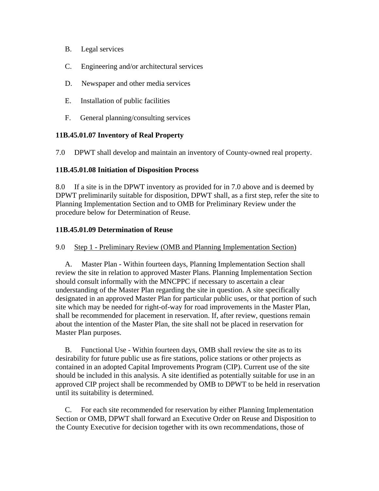- B. Legal services
- C. Engineering and/or architectural services
- D. Newspaper and other media services
- E. Installation of public facilities
- F. General planning/consulting services

#### **11B.45.01.07 Inventory of Real Property**

7.0 DPWT shall develop and maintain an inventory of County-owned real property.

#### **11B.45.01.08 Initiation of Disposition Process**

8.0 If a site is in the DPWT inventory as provided for in 7.0 above and is deemed by DPWT preliminarily suitable for disposition, DPWT shall, as a first step, refer the site to Planning Implementation Section and to OMB for Preliminary Review under the procedure below for Determination of Reuse.

#### **11B.45.01.09 Determination of Reuse**

#### 9.0 Step 1 - Preliminary Review (OMB and Planning Implementation Section)

 A. Master Plan - Within fourteen days, Planning Implementation Section shall review the site in relation to approved Master Plans. Planning Implementation Section should consult informally with the MNCPPC if necessary to ascertain a clear understanding of the Master Plan regarding the site in question. A site specifically designated in an approved Master Plan for particular public uses, or that portion of such site which may be needed for right-of-way for road improvements in the Master Plan, shall be recommended for placement in reservation. If, after review, questions remain about the intention of the Master Plan, the site shall not be placed in reservation for Master Plan purposes.

 B. Functional Use - Within fourteen days, OMB shall review the site as to its desirability for future public use as fire stations, police stations or other projects as contained in an adopted Capital Improvements Program (CIP). Current use of the site should be included in this analysis. A site identified as potentially suitable for use in an approved CIP project shall be recommended by OMB to DPWT to be held in reservation until its suitability is determined.

 C. For each site recommended for reservation by either Planning Implementation Section or OMB, DPWT shall forward an Executive Order on Reuse and Disposition to the County Executive for decision together with its own recommendations, those of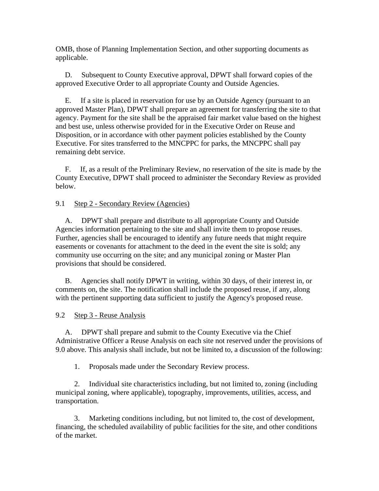OMB, those of Planning Implementation Section, and other supporting documents as applicable.

 D. Subsequent to County Executive approval, DPWT shall forward copies of the approved Executive Order to all appropriate County and Outside Agencies.

 E. If a site is placed in reservation for use by an Outside Agency (pursuant to an approved Master Plan), DPWT shall prepare an agreement for transferring the site to that agency. Payment for the site shall be the appraised fair market value based on the highest and best use, unless otherwise provided for in the Executive Order on Reuse and Disposition, or in accordance with other payment policies established by the County Executive. For sites transferred to the MNCPPC for parks, the MNCPPC shall pay remaining debt service.

 F. If, as a result of the Preliminary Review, no reservation of the site is made by the County Executive, DPWT shall proceed to administer the Secondary Review as provided below.

9.1 Step 2 - Secondary Review (Agencies)

 A. DPWT shall prepare and distribute to all appropriate County and Outside Agencies information pertaining to the site and shall invite them to propose reuses. Further, agencies shall be encouraged to identify any future needs that might require easements or covenants for attachment to the deed in the event the site is sold; any community use occurring on the site; and any municipal zoning or Master Plan provisions that should be considered.

 B. Agencies shall notify DPWT in writing, within 30 days, of their interest in, or comments on, the site. The notification shall include the proposed reuse, if any, along with the pertinent supporting data sufficient to justify the Agency's proposed reuse.

9.2 Step 3 - Reuse Analysis

 A. DPWT shall prepare and submit to the County Executive via the Chief Administrative Officer a Reuse Analysis on each site not reserved under the provisions of 9.0 above. This analysis shall include, but not be limited to, a discussion of the following:

1. Proposals made under the Secondary Review process.

 2. Individual site characteristics including, but not limited to, zoning (including municipal zoning, where applicable), topography, improvements, utilities, access, and transportation.

 3. Marketing conditions including, but not limited to, the cost of development, financing, the scheduled availability of public facilities for the site, and other conditions of the market.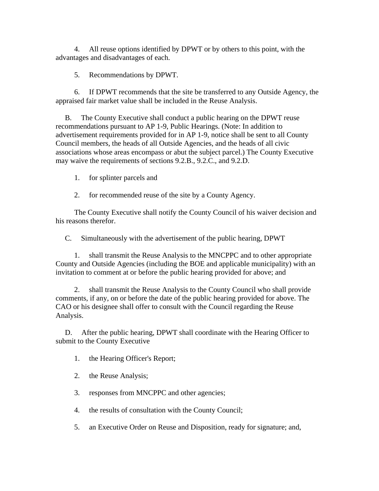4. All reuse options identified by DPWT or by others to this point, with the advantages and disadvantages of each.

5. Recommendations by DPWT.

 6. If DPWT recommends that the site be transferred to any Outside Agency, the appraised fair market value shall be included in the Reuse Analysis.

 B. The County Executive shall conduct a public hearing on the DPWT reuse recommendations pursuant to AP 1-9, Public Hearings. (Note: In addition to advertisement requirements provided for in AP 1-9, notice shall be sent to all County Council members, the heads of all Outside Agencies, and the heads of all civic associations whose areas encompass or abut the subject parcel.) The County Executive may waive the requirements of sections 9.2.B., 9.2.C., and 9.2.D.

1. for splinter parcels and

2. for recommended reuse of the site by a County Agency.

 The County Executive shall notify the County Council of his waiver decision and his reasons therefor.

C. Simultaneously with the advertisement of the public hearing, DPWT

 1. shall transmit the Reuse Analysis to the MNCPPC and to other appropriate County and Outside Agencies (including the BOE and applicable municipality) with an invitation to comment at or before the public hearing provided for above; and

 2. shall transmit the Reuse Analysis to the County Council who shall provide comments, if any, on or before the date of the public hearing provided for above. The CAO or his designee shall offer to consult with the Council regarding the Reuse Analysis.

 D. After the public hearing, DPWT shall coordinate with the Hearing Officer to submit to the County Executive

- 1. the Hearing Officer's Report;
- 2. the Reuse Analysis;
- 3. responses from MNCPPC and other agencies;
- 4. the results of consultation with the County Council;
- 5. an Executive Order on Reuse and Disposition, ready for signature; and,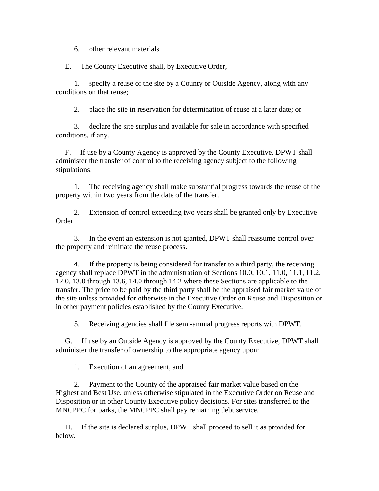6. other relevant materials.

E. The County Executive shall, by Executive Order,

 1. specify a reuse of the site by a County or Outside Agency, along with any conditions on that reuse;

2. place the site in reservation for determination of reuse at a later date; or

 3. declare the site surplus and available for sale in accordance with specified conditions, if any.

 F. If use by a County Agency is approved by the County Executive, DPWT shall administer the transfer of control to the receiving agency subject to the following stipulations:

 1. The receiving agency shall make substantial progress towards the reuse of the property within two years from the date of the transfer.

 2. Extension of control exceeding two years shall be granted only by Executive Order.

 3. In the event an extension is not granted, DPWT shall reassume control over the property and reinitiate the reuse process.

 4. If the property is being considered for transfer to a third party, the receiving agency shall replace DPWT in the administration of Sections 10.0, 10.1, 11.0, 11.1, 11.2, 12.0, 13.0 through 13.6, 14.0 through 14.2 where these Sections are applicable to the transfer. The price to be paid by the third party shall be the appraised fair market value of the site unless provided for otherwise in the Executive Order on Reuse and Disposition or in other payment policies established by the County Executive.

5. Receiving agencies shall file semi-annual progress reports with DPWT.

 G. If use by an Outside Agency is approved by the County Executive, DPWT shall administer the transfer of ownership to the appropriate agency upon:

1. Execution of an agreement, and

 2. Payment to the County of the appraised fair market value based on the Highest and Best Use, unless otherwise stipulated in the Executive Order on Reuse and Disposition or in other County Executive policy decisions. For sites transferred to the MNCPPC for parks, the MNCPPC shall pay remaining debt service.

 H. If the site is declared surplus, DPWT shall proceed to sell it as provided for below.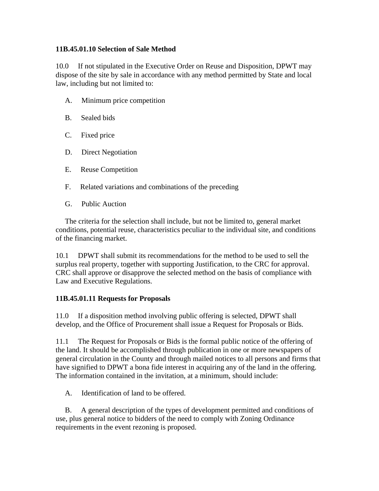### **11B.45.01.10 Selection of Sale Method**

10.0 If not stipulated in the Executive Order on Reuse and Disposition, DPWT may dispose of the site by sale in accordance with any method permitted by State and local law, including but not limited to:

- A. Minimum price competition
- B. Sealed bids
- C. Fixed price
- D. Direct Negotiation
- E. Reuse Competition
- F. Related variations and combinations of the preceding
- G. Public Auction

 The criteria for the selection shall include, but not be limited to, general market conditions, potential reuse, characteristics peculiar to the individual site, and conditions of the financing market.

10.1 DPWT shall submit its recommendations for the method to be used to sell the surplus real property, together with supporting Justification, to the CRC for approval. CRC shall approve or disapprove the selected method on the basis of compliance with Law and Executive Regulations.

### **11B.45.01.11 Requests for Proposals**

11.0 If a disposition method involving public offering is selected, DPWT shall develop, and the Office of Procurement shall issue a Request for Proposals or Bids.

11.1 The Request for Proposals or Bids is the formal public notice of the offering of the land. It should be accomplished through publication in one or more newspapers of general circulation in the County and through mailed notices to all persons and firms that have signified to DPWT a bona fide interest in acquiring any of the land in the offering. The information contained in the invitation, at a minimum, should include:

A. Identification of land to be offered.

 B. A general description of the types of development permitted and conditions of use, plus general notice to bidders of the need to comply with Zoning Ordinance requirements in the event rezoning is proposed.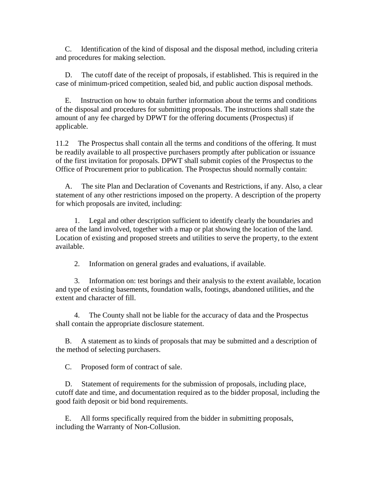C. Identification of the kind of disposal and the disposal method, including criteria and procedures for making selection.

 D. The cutoff date of the receipt of proposals, if established. This is required in the case of minimum-priced competition, sealed bid, and public auction disposal methods.

 E. Instruction on how to obtain further information about the terms and conditions of the disposal and procedures for submitting proposals. The instructions shall state the amount of any fee charged by DPWT for the offering documents (Prospectus) if applicable.

11.2 The Prospectus shall contain all the terms and conditions of the offering. It must be readily available to all prospective purchasers promptly after publication or issuance of the first invitation for proposals. DPWT shall submit copies of the Prospectus to the Office of Procurement prior to publication. The Prospectus should normally contain:

 A. The site Plan and Declaration of Covenants and Restrictions, if any. Also, a clear statement of any other restrictions imposed on the property. A description of the property for which proposals are invited, including:

 1. Legal and other description sufficient to identify clearly the boundaries and area of the land involved, together with a map or plat showing the location of the land. Location of existing and proposed streets and utilities to serve the property, to the extent available.

2. Information on general grades and evaluations, if available.

 3. Information on: test borings and their analysis to the extent available, location and type of existing basements, foundation walls, footings, abandoned utilities, and the extent and character of fill.

 4. The County shall not be liable for the accuracy of data and the Prospectus shall contain the appropriate disclosure statement.

 B. A statement as to kinds of proposals that may be submitted and a description of the method of selecting purchasers.

C. Proposed form of contract of sale.

 D. Statement of requirements for the submission of proposals, including place, cutoff date and time, and documentation required as to the bidder proposal, including the good faith deposit or bid bond requirements.

 E. All forms specifically required from the bidder in submitting proposals, including the Warranty of Non-Collusion.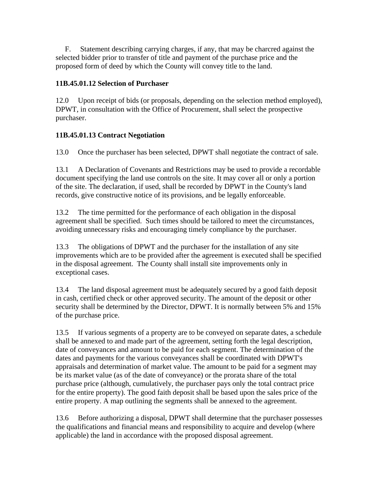F. Statement describing carrying charges, if any, that may be charcred against the selected bidder prior to transfer of title and payment of the purchase price and the proposed form of deed by which the County will convey title to the land.

# **11B.45.01.12 Selection of Purchaser**

12.0 Upon receipt of bids (or proposals, depending on the selection method employed), DPWT, in consultation with the Office of Procurement, shall select the prospective purchaser.

# **11B.45.01.13 Contract Negotiation**

13.0 Once the purchaser has been selected, DPWT shall negotiate the contract of sale.

13.1 A Declaration of Covenants and Restrictions may be used to provide a recordable document specifying the land use controls on the site. It may cover all or only a portion of the site. The declaration, if used, shall be recorded by DPWT in the County's land records, give constructive notice of its provisions, and be legally enforceable.

13.2 The time permitted for the performance of each obligation in the disposal agreement shall be specified. Such times should be tailored to meet the circumstances, avoiding unnecessary risks and encouraging timely compliance by the purchaser.

13.3 The obligations of DPWT and the purchaser for the installation of any site improvements which are to be provided after the agreement is executed shall be specified in the disposal agreement. The County shall install site improvements only in exceptional cases.

13.4 The land disposal agreement must be adequately secured by a good faith deposit in cash, certified check or other approved security. The amount of the deposit or other security shall be determined by the Director, DPWT. It is normally between 5% and 15% of the purchase price.

13.5 If various segments of a property are to be conveyed on separate dates, a schedule shall be annexed to and made part of the agreement, setting forth the legal description, date of conveyances and amount to be paid for each segment. The determination of the dates and payments for the various conveyances shall be coordinated with DPWT's appraisals and determination of market value. The amount to be paid for a segment may be its market value (as of the date of conveyance) or the prorata share of the total purchase price (although, cumulatively, the purchaser pays only the total contract price for the entire property). The good faith deposit shall be based upon the sales price of the entire property. A map outlining the segments shall be annexed to the agreement.

13.6 Before authorizing a disposal, DPWT shall determine that the purchaser possesses the qualifications and financial means and responsibility to acquire and develop (where applicable) the land in accordance with the proposed disposal agreement.